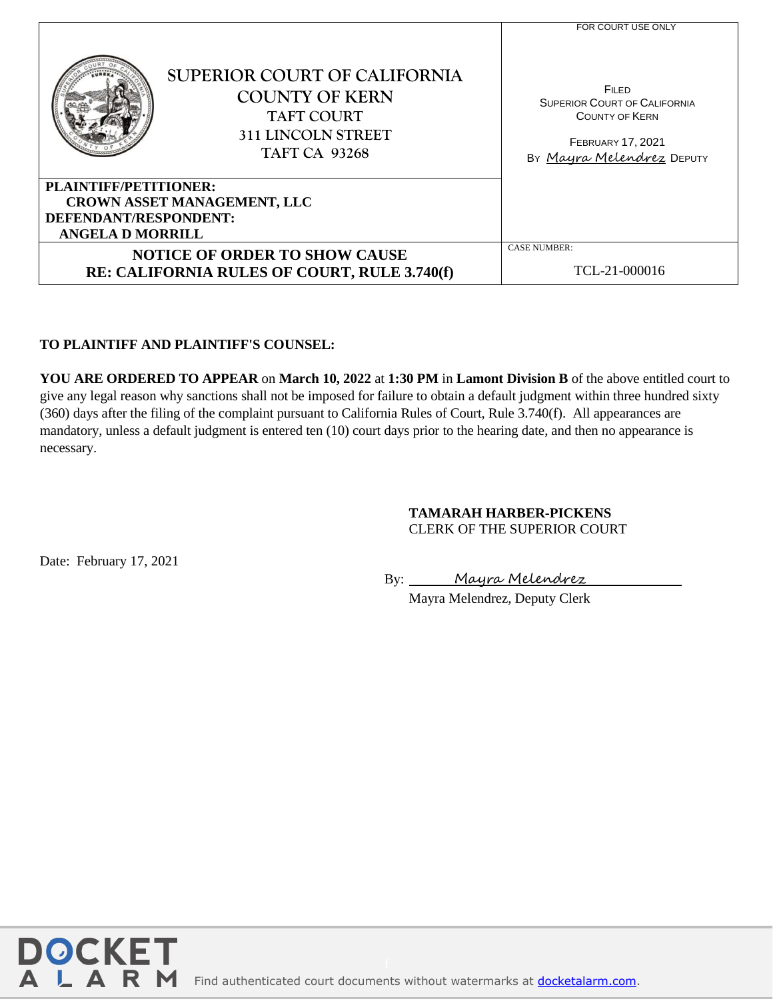|                                                      | SUPERIOR COURT OF CALIFORNIA<br><b>COUNTY OF KERN</b><br><b>TAFT COURT</b><br><b>311 LINCOLN STREET</b><br><b>TAFT CA 93268</b> | FOR COURT USE ONLY<br><b>FILED</b><br><b>SUPERIOR COURT OF CALIFORNIA</b><br><b>COUNTY OF KERN</b><br><b>FEBRUARY 17, 2021</b><br>By Mayra Melendrez DEPUTY |
|------------------------------------------------------|---------------------------------------------------------------------------------------------------------------------------------|-------------------------------------------------------------------------------------------------------------------------------------------------------------|
| PLAINTIFF/PETITIONER:                                |                                                                                                                                 |                                                                                                                                                             |
| CROWN ASSET MANAGEMENT, LLC<br>DEFENDANT/RESPONDENT: |                                                                                                                                 |                                                                                                                                                             |
| <b>ANGELA D MORRILL</b>                              |                                                                                                                                 |                                                                                                                                                             |
| <b>NOTICE OF ORDER TO SHOW CAUSE</b>                 |                                                                                                                                 | <b>CASE NUMBER:</b>                                                                                                                                         |
| RE: CALIFORNIA RULES OF COURT, RULE 3.740(f)         |                                                                                                                                 | TCL-21-000016                                                                                                                                               |

## **TO PLAINTIFF AND PLAINTIFF'S COUNSEL:**

**YOU ARE ORDERED TO APPEAR** on **March 10, 2022** at **1:30 PM** in **Lamont Division B** of the above entitled court to give any legal reason why sanctions shall not be imposed for failure to obtain a default judgment within three hundred sixty (360) days after the filing of the complaint pursuant to California Rules of Court, Rule 3.740(f). All appearances are mandatory, unless a default judgment is entered ten (10) court days prior to the hearing date, and then no appearance is necessary.

## **TAMARAH HARBER-PICKENS** CLERK OF THE SUPERIOR COURT

Date: February 17, 2021

By: Mayra Melendrez

Mayra Melendrez, Deputy Clerk

Notice of Order to Show Cause Re CRC 3.740(f)